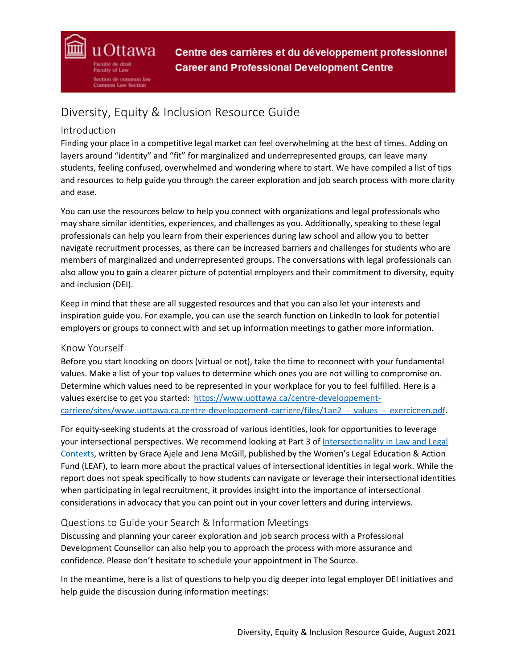# Diversity, Equity & Inclusion Resource Guide

# Introduction

uOttawa

tion de common law Common Law Section

Finding your place in a competitive legal market can feel overwhelming at the best of times. Adding on layers around "identity" and "fit" for marginalized and underrepresented groups, can leave many students, feeling confused, overwhelmed and wondering where to start. We have compiled a list of tips and resources to help guide you through the career exploration and job search process with more clarity and ease.

You can use the resources below to help you connect with organizations and legal professionals who may share similar identities, experiences, and challenges as you. Additionally, speaking to these legal professionals can help you learn from their experiences during law school and allow you to better navigate recruitment processes, as there can be increased barriers and challenges for students who are members of marginalized and underrepresented groups. The conversations with legal professionals can also allow you to gain a clearer picture of potential employers and their commitment to diversity, equity and inclusion (DEI).

Keep in mind that these are all suggested resources and that you can also let your interests and inspiration guide you. For example, you can use the search function on LinkedIn to look for potential employers or groups to connect with and set up information meetings to gather more information.

### Know Yourself

Before you start knocking on doors (virtual or not), take the time to reconnect with your fundamental values. Make a list of your top values to determine which ones you are not willing to compromise on. Determine which values need to be represented in your workplace for you to feel fulfilled. Here is a values exercise to get you started: [https://www.uottawa.ca/centre-developpement](https://www.uottawa.ca/centre-developpement-carriere/sites/www.uottawa.ca.centre-developpement-carriere/files/1ae2_-_values_-_exerciceen.pdf)carriere/sites/www.uottawa.ca.centre-developpement-carriere/files/1ae2 - values - exerciceen.pdf.

For equity-seeking students at the crossroad of various identities, look for opportunities to leverage your intersectional perspectives. We recommend looking at Part 3 of [Intersectionality in Law and Legal](https://www.leaf.ca/wp-content/uploads/2020/10/Full-Report-Intersectionality-in-Law-and-Legal-Contexts.pdf)  [Contexts,](https://www.leaf.ca/wp-content/uploads/2020/10/Full-Report-Intersectionality-in-Law-and-Legal-Contexts.pdf) written by Grace Ajele and Jena McGill, published by the Women's Legal Education & Action Fund (LEAF), to learn more about the practical values of intersectional identities in legal work. While the report does not speak specifically to how students can navigate or leverage their intersectional identities when participating in legal recruitment, it provides insight into the importance of intersectional considerations in advocacy that you can point out in your cover letters and during interviews.

### Questions to Guide your Search & Information Meetings

Discussing and planning your career exploration and job search process with a Professional Development Counsellor can also help you to approach the process with more assurance and confidence. Please don't hesitate to schedule your appointment in The Source.

In the meantime, here is a list of questions to help you dig deeper into legal employer DEI initiatives and help guide the discussion during information meetings: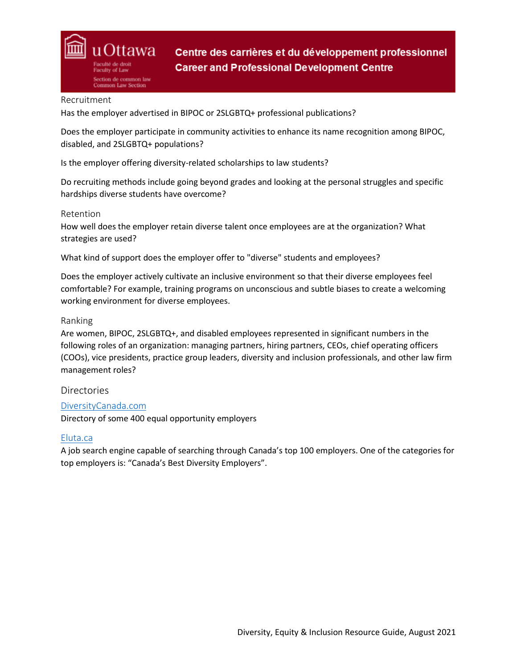

#### Recruitment

Has the employer advertised in BIPOC or 2SLGBTQ+ professional publications?

Does the employer participate in community activities to enhance its name recognition among BIPOC, disabled, and 2SLGBTQ+ populations?

Is the employer offering diversity-related scholarships to law students?

Do recruiting methods include going beyond grades and looking at the personal struggles and specific hardships diverse students have overcome?

#### Retention

How well does the employer retain diverse talent once employees are at the organization? What strategies are used?

What kind of support does the employer offer to "diverse" students and employees?

Does the employer actively cultivate an inclusive environment so that their diverse employees feel comfortable? For example, training programs on unconscious and subtle biases to create a welcoming working environment for diverse employees.

### Ranking

Are women, BIPOC, 2SLGBTQ+, and disabled employees represented in significant numbers in the following roles of an organization: managing partners, hiring partners, CEOs, chief operating officers (COOs), vice presidents, practice group leaders, diversity and inclusion professionals, and other law firm management roles?

### **Directories**

### [DiversityCanada.com](https://diversitycanada.com/listing.pdf)

Directory of some 400 equal opportunity employers

### [Eluta.ca](https://www.eluta.ca/)

A job search engine capable of searching through Canada's top 100 employers. One of the categories for top employers is: "Canada's Best Diversity Employers".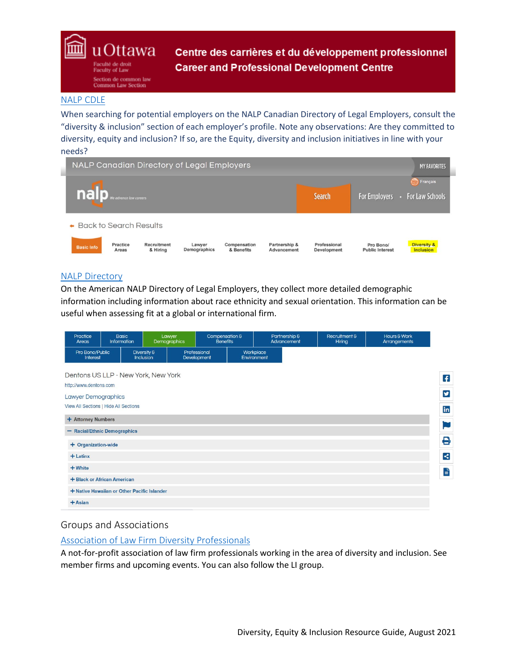u Ottawa Faculty of Law section de common law Common Law Section

Centre des carrières et du développement professionnel **Career and Professional Development Centre** 

### [NALP CDLE](https://www.nalpcanada.com/index.cfm)

When searching for potential employers on the NALP Canadian Directory of Legal Employers, consult the "diversity & inclusion" section of each employer's profile. Note any observations: Are they committed to diversity, equity and inclusion? If so, are the Equity, diversity and inclusion initiatives in line with your needs?



#### [NALP Directory](https://www.nalpdirectory.com/index.cfm)

On the American NALP Directory of Legal Employers, they collect more detailed demographic information including information about race ethnicity and sexual orientation. This information can be useful when assessing fit at a global or international firm.

| Practice<br>Areas                                    | <b>Basic</b><br>Information                 |                          | Lawyer<br>Demographics      | Compensation &<br>Benefits |                          | Partnership &<br>Advancement |  | Recruitment &<br>Hiring | Hours & Work<br>Arrangements |                |
|------------------------------------------------------|---------------------------------------------|--------------------------|-----------------------------|----------------------------|--------------------------|------------------------------|--|-------------------------|------------------------------|----------------|
| Pro Bono/Public<br>Interest                          |                                             | Diversity &<br>Inclusion | Professional<br>Development |                            | Workplace<br>Environment |                              |  |                         |                              |                |
| Dentons US LLP - New York, New York                  |                                             |                          |                             |                            |                          |                              |  |                         |                              | $\overline{f}$ |
| http://www.dentons.com<br><b>Lawyer Demographics</b> |                                             |                          |                             |                            |                          |                              |  |                         |                              | y              |
| View All Sections   Hide All Sections                |                                             |                          |                             |                            |                          |                              |  |                         |                              | in             |
| + Attorney Numbers<br>- Racial/Ethnic Demographics   |                                             |                          |                             |                            |                          |                              |  |                         |                              | Þ              |
| + Organization-wide                                  |                                             |                          |                             |                            |                          |                              |  |                         |                              | 8              |
| $+$ Latinx                                           |                                             |                          |                             |                            |                          |                              |  |                         |                              | $\prec$        |
| $+$ White                                            |                                             |                          |                             |                            |                          |                              |  |                         |                              | È              |
|                                                      | + Black or African American                 |                          |                             |                            |                          |                              |  |                         |                              |                |
| $+$ Asian                                            | + Native Hawaiian or Other Pacific Islander |                          |                             |                            |                          |                              |  |                         |                              |                |

### Groups and Associations

### [Association of Law Firm Diversity Professionals](https://alfdp.com/)

A not-for-profit association of law firm professionals working in the area of diversity and inclusion. See member firms and upcoming events. You can also follow the LI group.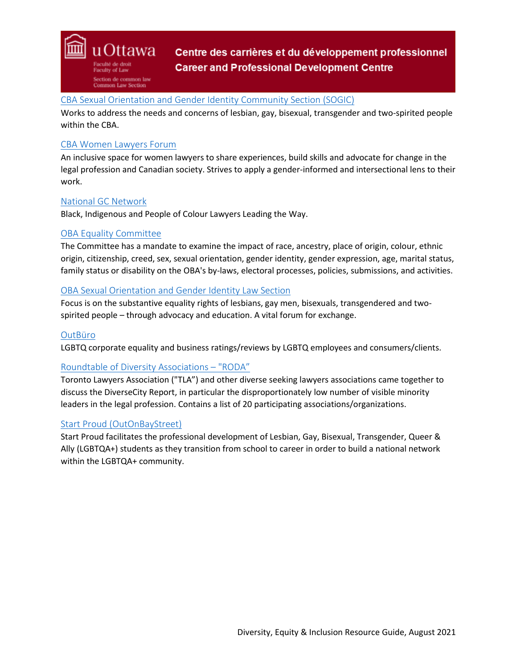

# [CBA Sexual Orientation and Gender Identity Community Section \(SOGIC\)](https://www.cba.org/Sections/Sexual-Orientation-and-Gender-Identity-Community/About)

Works to address the needs and concerns of lesbian, gay, bisexual, transgender and two-spirited people within the CBA.

### [CBA Women Lawyers Forum](https://www.cba.org/Sections/Women-Lawyers/About)

An inclusive space for women lawyers to share experiences, build skills and advocate for change in the legal profession and Canadian society. Strives to apply a gender-informed and intersectional lens to their work.

### [National GC Network](https://www.nationalgcnetwork.ca/who-we-are)

Black, Indigenous and People of Colour Lawyers Leading the Way.

### [OBA Equality Committee](https://www.oba.org/Sections/Committees/Special-Committees/Equality-Committee)

The Committee has a mandate to examine the impact of race, ancestry, place of origin, colour, ethnic origin, citizenship, creed, sex, sexual orientation, gender identity, gender expression, age, marital status, family status or disability on the OBA's by-laws, electoral processes, policies, submissions, and activities.

### [OBA Sexual Orientation and Gender Identity Law Section](https://www.oba.org/Sections/Sexual-Orientation-and-Gender-Identity-Law)

Focus is on the substantive equality rights of lesbians, gay men, bisexuals, transgendered and twospirited people – through advocacy and education. A vital forum for exchange.

### **[OutBüro](https://outburo.com/)**

LGBTQ corporate equality and business ratings/reviews by LGBTQ employees and consumers/clients.

### [Roundtable of Diversity Associations –](https://tlaonline.ca/site/community/roda) "RODA"

Toronto Lawyers Association ("TLA") and other diverse seeking lawyers associations came together to discuss the DiverseCity Report, in particular the disproportionately low number of visible minority leaders in the legal profession. Contains a list of 20 participating associations/organizations.

### [Start Proud \(OutOnBayStreet\)](https://outonbayst.ca/)

Start Proud facilitates the professional development of Lesbian, Gay, Bisexual, Transgender, Queer & Ally (LGBTQA+) students as they transition from school to career in order to build a national network within the LGBTQA+ community.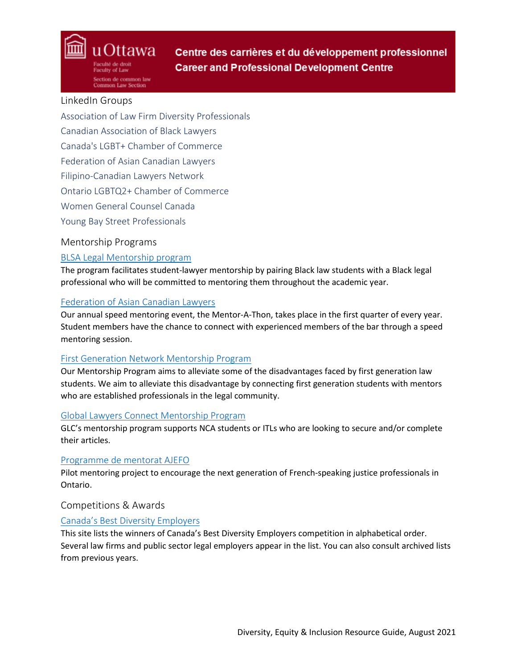## LinkedIn Groups

uOttawa

tion de common law Common Law Section

Association of Law Firm Diversity Professionals Canadian Association of Black Lawyers Canada's LGBT+ Chamber of Commerce Federation of Asian Canadian Lawyers Filipino-Canadian Lawyers Network Ontario LGBTQ2+ Chamber of Commerce Women General Counsel Canada Young Bay Street Professionals

# Mentorship Programs

# [BLSA Legal Mentorship program](https://www.blsaottawa.com/student-lawyer-faq)

The program facilitates student-lawyer mentorship by pairing Black law students with a Black legal professional who will be committed to mentoring them throughout the academic year.

# [Federation of Asian Canadian Lawyers](https://on.facl.ca/committees/mentorship/)

Our annual speed mentoring event, the Mentor-A-Thon, takes place in the first quarter of every year. Student members have the chance to connect with experienced members of the bar through a speed mentoring session.

# [First Generation Network Mentorship Program](https://firstgenerationnetwork.ca/get-involved/)

Our Mentorship Program aims to alleviate some of the disadvantages faced by first generation law students. We aim to alleviate this disadvantage by connecting first generation students with mentors who are established professionals in the legal community.

# [Global Lawyers Connect Mentorship Program](https://glcanada.org/get-involved/mentorship/)

GLC's mentorship program supports NCA students or ITLs who are looking to secure and/or complete their articles.

# [Programme de mentorat AJEFO](https://www.ajefo.ca/juristes/mentorat)

Pilot mentoring project to encourage the next generation of French-speaking justice professionals in Ontario.

# Competitions & Awards

# [Canada's Best Diversity Employers](https://www.canadastop100.com/diversity/)

This site lists the winners of Canada's Best Diversity Employers competition in alphabetical order. Several law firms and public sector legal employers appear in the list. You can also consult archived lists from previous years.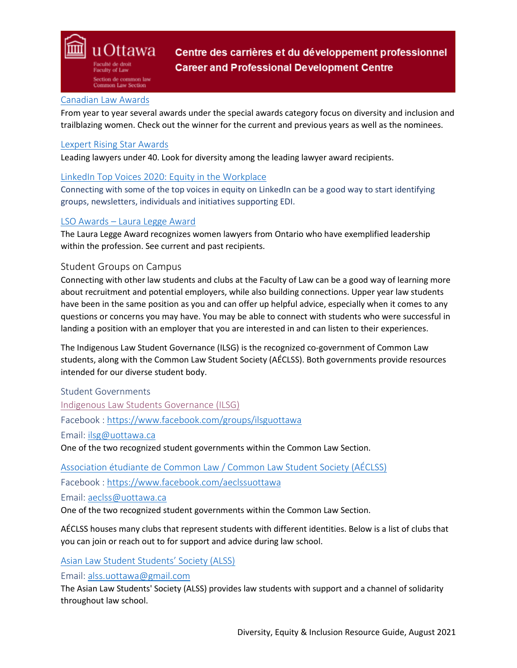

### [Canadian Law Awards](https://www.lawawards.ca/)

From year to year several awards under the special awards category focus on diversity and inclusion and trailblazing women. Check out the winner for the current and previous years as well as the nominees.

### [Lexpert Rising Star Awards](https://risingstarscanada.com/)

Leading lawyers under 40. Look for diversity among the leading lawyer award recipients.

### [LinkedIn Top Voices 2020: Equity in the Workplace](https://www.linkedin.com/pulse/linkedin-top-voices-2020-equity-workplace-caroline-fairchild)

Connecting with some of the top voices in equity on LinkedIn can be a good way to start identifying groups, newsletters, individuals and initiatives supporting EDI.

### LSO Awards – [Laura Legge Award](https://lso.ca/about-lso/medals,-awards-and-honours/law-society-awards/the-laura-legge-award)

The Laura Legge Award recognizes women lawyers from Ontario who have exemplified leadership within the profession. See current and past recipients.

### Student Groups on Campus

Connecting with other law students and clubs at the Faculty of Law can be a good way of learning more about recruitment and potential employers, while also building connections. Upper year law students have been in the same position as you and can offer up helpful advice, especially when it comes to any questions or concerns you may have. You may be able to connect with students who were successful in landing a position with an employer that you are interested in and can listen to their experiences.

The Indigenous Law Student Governance (ILSG) is the recognized co-government of Common Law students, along with the Common Law Student Society (AÉCLSS). Both governments provide resources intended for our diverse student body.

Student Governments [Indigenous Law Students Governance \(ILSG\)](https://www.ilsguottawa.org/about) Facebook :<https://www.facebook.com/groups/ilsguottawa> Email: [ilsg@uottawa.ca](mailto:ilsg@uottawa.ca)  One of the two recognized student governments within the Common Law Section.

[Association étudiante de Common Law / Common Law Student Society \(AÉCLSS\)](https://www.aeclssuottawa.ca/)

Facebook :<https://www.facebook.com/aeclssuottawa>

Email: [aeclss@uottawa.ca](mailto:ilsg@uottawa.ca) 

One of the two recognized student governments within the Common Law Section.

AÉCLSS houses many clubs that represent students with different identities. Below is a list of clubs that you can join or reach out to for support and advice during law school.

### [Asian Law Student Students' Society \(ALSS\)](https://www.facebook.com/groups/alss.uottawa)

Email: [alss.uottawa@gmail.com](mailto:alss.uottawa@gmail.com)

The Asian Law Students' Society (ALSS) provides law students with support and a channel of solidarity throughout law school.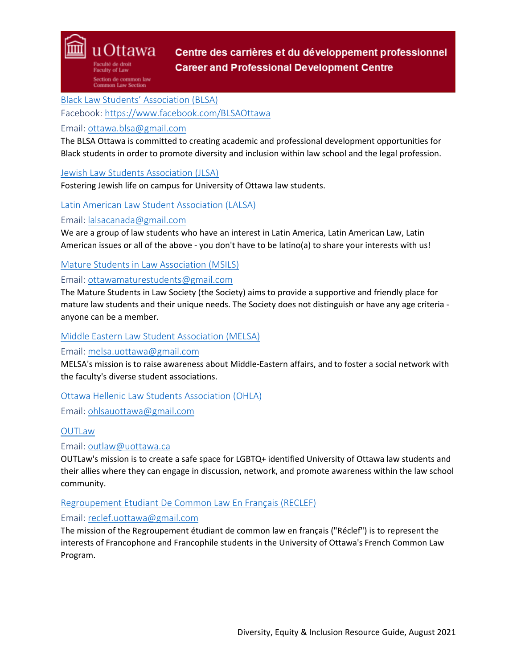[Black Law Students' Association \(BLSA\)](http://www.blsaottawa.com/)

Facebook:<https://www.facebook.com/BLSAOttawa>

### Email: [ottawa.blsa@gmail.com](mailto:ottawa.blsa@gmail.com)

uOttawa

tion de common law **Common Law Section** 

The BLSA Ottawa is committed to creating academic and professional development opportunities for Black students in order to promote diversity and inclusion within law school and the legal profession.

### [Jewish Law Students Association \(JLSA\)](https://www.facebook.com/Jewish-Law-Students-Association-of-Ottawa-JLSA-104090051000118/about/?ref=page_internal)

Fostering Jewish life on campus for University of Ottawa law students.

### [Latin American Law Student Association \(LALSA\)](https://www.facebook.com/groups/209893396092048/)

### Email: [lalsacanada@gmail.com](mailto:lalsacanada@gmail.com)

We are a group of law students who have an interest in Latin America, Latin American Law, Latin American issues or all of the above - you don't have to be latino(a) to share your interests with us!

### [Mature Students in Law Association \(MSILS\)](https://www.facebook.com/groups/154999331222290/)

### Email: [ottawamaturestudents@gmail.com](mailto:ottawamaturestudents@gmail.com)

The Mature Students in Law Society (the Society) aims to provide a supportive and friendly place for mature law students and their unique needs. The Society does not distinguish or have any age criteria anyone can be a member.

### [Middle Eastern Law Student Association \(MELSA\)](https://www.facebook.com/melsaottawa/)

#### Email: [melsa.uottawa@gmail.com](mailto:melsa.uottawa@gmail.com)

MELSA's mission is to raise awareness about Middle-Eastern affairs, and to foster a social network with the faculty's diverse student associations.

### [Ottawa Hellenic Law Students Association \(OHLA\)](https://www.facebook.com/groups/OHLSA)

Email: [ohlsauottawa@gmail.com](mailto:ohlsauottawa@gmail.com)

### **[OUTLaw](https://uottawaoutlaw.ca/)**

### Email: [outlaw@uottawa.ca](mailto:outlaw@uottawa.ca)

OUTLaw's mission is to create a safe space for LGBTQ+ identified University of Ottawa law students and their allies where they can engage in discussion, network, and promote awareness within the law school community.

### [Regroupement Etudiant De Common Law En Français \(RECLEF\)](http://reclef.weebly.com/)

### Email: [reclef.uottawa@gmail.com](mailto:reclef.uottawa@gmail.com)

The mission of the Regroupement étudiant de common law en français ("Réclef") is to represent the interests of Francophone and Francophile students in the University of Ottawa's French Common Law Program.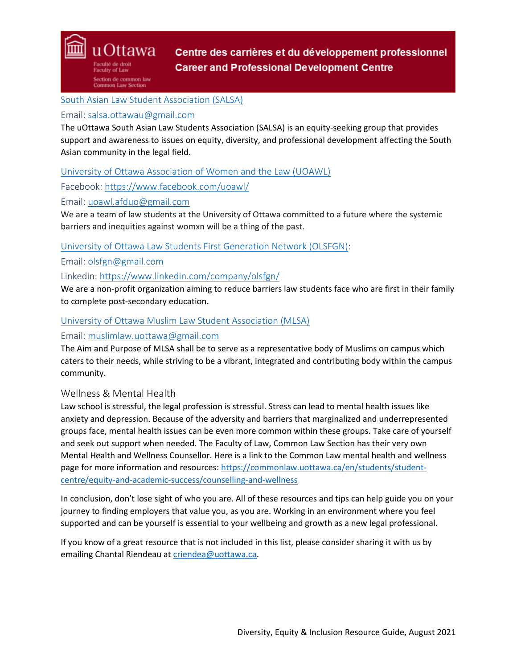ction de common law **Common Law Section** 

u Ottawa

[South Asian Law Student Association \(SALSA\)](https://www.facebook.com/salsa.ottawau)

## Email: [salsa.ottawau@gmail.com](mailto:salsa.ottawau@gmail.com)

The uOttawa South Asian Law Students Association (SALSA) is an equity-seeking group that provides support and awareness to issues on equity, diversity, and professional development affecting the South Asian community in the legal field.

[University of Ottawa Association of Women and the Law \(UOAWL\)](https://uoawl.org/)

Facebook:<https://www.facebook.com/uoawl/>

Email: [uoawl.afduo@gmail.com](mailto:uoawl.afduo@gmail.com)

We are a team of law students at the University of Ottawa committed to a future where the systemic barriers and inequities against womxn will be a thing of the past.

[University of Ottawa Law Students First Generation Network \(OLSFGN\):](https://firstgenerationnetwork.ca/get-involved/)

Email: [olsfgn@gmail.com](mailto:olsfgn@gmail.com)

Linkedin:<https://www.linkedin.com/company/olsfgn/>

We are a non-profit organization aiming to reduce barriers law students face who are first in their family to complete post-secondary education.

# [University of Ottawa Muslim Law Student Association \(MLSA\)](https://www.facebook.com/groups/37130450212/)

## Email: [muslimlaw.uottawa@gmail.com](mailto:muslimlaw.uottawa@gmail.com)

The Aim and Purpose of MLSA shall be to serve as a representative body of Muslims on campus which caters to their needs, while striving to be a vibrant, integrated and contributing body within the campus community.

# Wellness & Mental Health

Law school is stressful, the legal profession is stressful. Stress can lead to mental health issues like anxiety and depression. Because of the adversity and barriers that marginalized and underrepresented groups face, mental health issues can be even more common within these groups. Take care of yourself and seek out support when needed. The Faculty of Law, Common Law Section has their very own Mental Health and Wellness Counsellor. Here is a link to the Common Law mental health and wellness page for more information and resources: [https://commonlaw.uottawa.ca/en/students/student](https://commonlaw.uottawa.ca/en/students/student-centre/equity-and-academic-success/counselling-and-wellness)[centre/equity-and-academic-success/counselling-and-wellness](https://commonlaw.uottawa.ca/en/students/student-centre/equity-and-academic-success/counselling-and-wellness)

In conclusion, don't lose sight of who you are. All of these resources and tips can help guide you on your journey to finding employers that value you, as you are. Working in an environment where you feel supported and can be yourself is essential to your wellbeing and growth as a new legal professional.

If you know of a great resource that is not included in this list, please consider sharing it with us by emailing Chantal Riendeau at [criendea@uottawa.ca.](mailto:criendea@uottawa.ca)